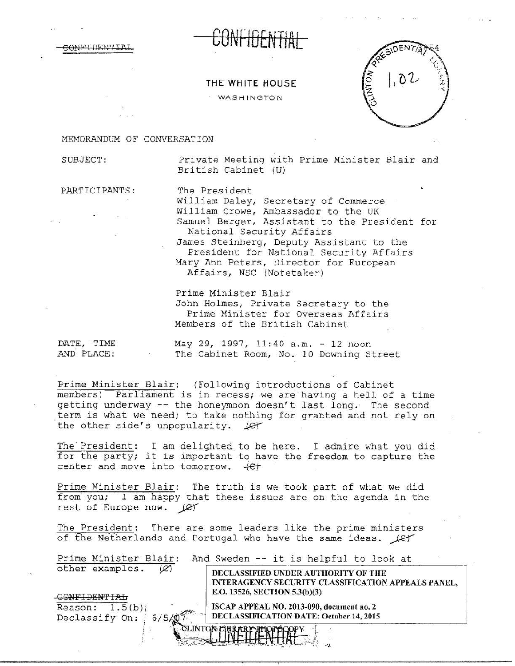CONFIDENTIAL CUNTIDENTIAL

## THE WHITE HOUSE

WASHINGTON



## MEMORANDUM OF CONVERSATION

SUBJECT: Private Meeting with Prime Minister Blair and British Cabinet (U)

PARTICIPANTS: The President

William Daley, Secretary of Commerce William Crowe, Ambassador to the UK Samuel Berger, Assistant to the President for National Security Affairs James steinberg, Deputy Assistant to the President for National Security Affairs Mary Ann Peters, Director for European Affairs, NSC (Notetaker)

Prime Minister Blair John Holmes, Private Secretary to the Prime Minister for Overseas Affairs Members of the British Cabinet

DATE, TIME May 29, 1997, 11:40 a.m. - 12 noon AND PLACE: The Cabinet Room, No. 10 Downing Street

Prime Minister Blair: (Following introductions of Cabinet members) Parliament is in recess; we are having a hell of a time getting underway -- the honeymoon doesn't last long. The second term is what we need; to take nothing for granted and not rely on the other side's unpopularity.  $\text{Ler}$ 

The President: I am delighted to be here. I admire what you did for the party; it is important to have the freedom to capture the center and move into tomorrow.  $+e^+$ 

Prime Minister Blair: The truth is we took part of what we did from you; I am happy that these issues are on the agenda in the rest of Europe now.  $\mathcal{L}$ 

The President: There are some leaders like the prime ministers of the Netherlands and Portugal who have the same ideas.  $\mathcal{L}$ 

| Prime Minister Blair:<br>other examples.<br>œ | And Sweden -- it is helpful to look at<br>DECLASSIFIED UNDER AUTHORITY OF THE       |
|-----------------------------------------------|-------------------------------------------------------------------------------------|
|                                               | INTERAGENCY SECURITY CLASSIFICATION APPEALS PANEL,<br>E.O. 13526, SECTION 5.3(b)(3) |
| 1.5(b)<br>Reason:                             | ISCAP APPEAL NO. 2013-090, document no. 2                                           |
| Declassify On:<br>6/5                         | DECLASSIFICATION DATE: October 14, 2015                                             |
|                                               | INTON LIBRARY PHOTO                                                                 |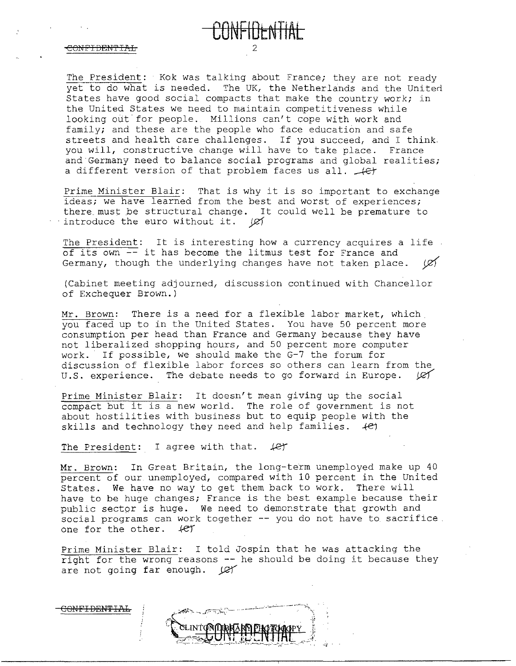The President: Kok was talking about France; they are not ready yet to do what is needed. The UK, the Netherlands and the United States have good social compacts that make the country work; in the United States we need to maintain competitiveness while looking out for people. Millions can't cope with work and family; and these are the people who face education and safe streets and health care challenges. If you succeed, and I think. you will, constructive change will have to take place. France and Germany need to balance social programs and global realities;<br>a different version of that problem faces us all.  $\overline{+e}$ 

**CONFIDtNTIAL** 

Prime Minister Blair: That is why it is so important to exchange ideas; we have learned from the best and worst of experiences; there must be structural change. It could well be premature to ·introduce the euro without it. *yef* 

The President: It is interesting how a currency acquires a life of its own -- it has become the litmus test for France and Germany, though the underlying changes have not taken place. *yzY* 

(Cabinet meeting adjourned, discussion continued with Chancellor of Exchequer Brown.)

Mr. Brown: There is a need for a flexible labor market, which you faced up to in the United States. You have 50 percent more consumption per head than France and Germany because they have not liberalized shopping hours, and 50 percent more computer work. If possible, we should make the G-7 the forum for discussion of flexible labor forces so others can learn from the U.S. experience. The debate needs to go forward in Europe.  $\cancel{C}$ 

Prime Minister Blair: It doesn't mean giving up the social compact but it is. a new world. The role of government is not about hostilities with business but to equip people with the skills and technology they need and help families.  $+e^z$ 

The President: I agree with that.  $\text{Let }$ 

Mr. Brown: In Great Britain, the long-term unemployed make up 40 percent of our unemployed, compared with 10 percent in the United States. We have no way to get them back to work. There will have to be huge changes; France is the best example because their public sector is huge. We need to demonstrate that growth and social programs can work together -- you do not have to sacrifice. one for the other.  $4eV$ 

Prime Minister Blair: I told Jospin that he was attacking the right for the wrong reasons -- he should be doing it because they are not going far enough.  $\mathcal{Q}$ 

CLINTONOMAND PHOTOGOPY

CONFIDENTIAL